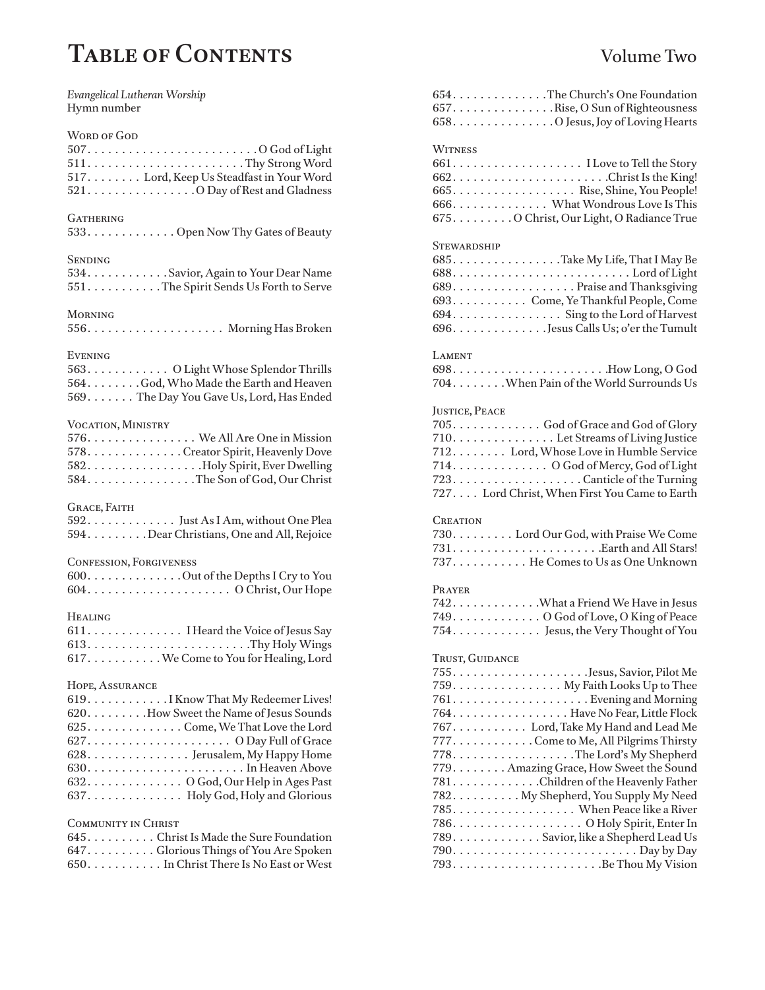# TABLE OF CONTENTS Volume Two

*Evangelical Lutheran Worship* Hymn number

## WORD OF GOD

| 517. Lord, Keep Us Steadfast in Your Word                             |
|-----------------------------------------------------------------------|
| 521. O Day of Rest and Gladness                                       |
| GATHERING                                                             |
| 533. Open Now Thy Gates of Beauty                                     |
|                                                                       |
| <b>SENDING</b>                                                        |
| 534. Savior, Again to Your Dear Name                                  |
| 551. The Spirit Sends Us Forth to Serve                               |
| <b>MORNING</b>                                                        |
|                                                                       |
|                                                                       |
| <b>EVENING</b>                                                        |
| 563. O Light Whose Splendor Thrills                                   |
| 564. God, Who Made the Earth and Heaven                               |
| 569. The Day You Gave Us, Lord, Has Ended                             |
| VOCATION, MINISTRY                                                    |
| 576. We All Are One in Mission                                        |
| 578. Creator Spirit, Heavenly Dove                                    |
| 582. Holy Spirit, Ever Dwelling                                       |
| 584. The Son of God, Our Christ                                       |
| Grace, Faith                                                          |
| 592. Just As I Am, without One Plea                                   |
| 594. Dear Christians, One and All, Rejoice                            |
| CONFESSION, FORGIVENESS                                               |
| 600. Out of the Depths I Cry to You                                   |
|                                                                       |
|                                                                       |
| <b>HEALING</b>                                                        |
| 611.  I Heard the Voice of Jesus Say                                  |
|                                                                       |
| 617. We Come to You for Healing, Lord                                 |
| HOPE, ASSURANCE                                                       |
| 619. I Know That My Redeemer Lives!                                   |
| 620. How Sweet the Name of Jesus Sounds                               |
| 625. Come, We That Love the Lord                                      |
|                                                                       |
| 628. Jerusalem, My Happy Home                                         |
|                                                                       |
|                                                                       |
|                                                                       |
|                                                                       |
| 632. O God, Our Help in Ages Past<br>637. Holy God, Holy and Glorious |
| <b>COMMUNITY IN CHRIST</b><br>645. Christ Is Made the Sure Foundation |

# 647. . . . . . . . . . Glorious Things of You Are Spoken 650. . In Christ There Is No East or West

| VOIUME IWO                       |  |
|----------------------------------|--|
|                                  |  |
| 654. The Church's One Foundation |  |
|                                  |  |

| $\cdots \cdots \cdots$<br>657. Rise, O Sun of Righteousness<br>658. O Jesus, Joy of Loving Hearts                                                                                                                                                                                                                                                                                   |
|-------------------------------------------------------------------------------------------------------------------------------------------------------------------------------------------------------------------------------------------------------------------------------------------------------------------------------------------------------------------------------------|
| <b>WITNESS</b><br>665. Rise, Shine, You People!<br>666. What Wondrous Love Is This<br>675. O Christ, Our Light, O Radiance True                                                                                                                                                                                                                                                     |
| STEWARDSHIP<br>685. Take My Life, That I May Be<br>689. Praise and Thanksgiving<br>693. Come, Ye Thankful People, Come<br>694. Sing to the Lord of Harvest<br>696. Jesus Calls Us; o'er the Tumult                                                                                                                                                                                  |
| LAMENT<br>704. When Pain of the World Surrounds Us                                                                                                                                                                                                                                                                                                                                  |
| <b>JUSTICE, PEACE</b><br>705. God of Grace and God of Glory<br>710. Let Streams of Living Justice<br>712. Lord, Whose Love in Humble Service<br>714. O God of Mercy, God of Light<br>727. Lord Christ, When First You Came to Earth                                                                                                                                                 |
| <b>CREATION</b><br>730. Lord Our God, with Praise We Come<br>737. He Comes to Us as One Unknown                                                                                                                                                                                                                                                                                     |
| PRAYER<br>742. What a Friend We Have in Jesus<br>749. O God of Love, O King of Peace<br>754. Jesus, the Very Thought of You                                                                                                                                                                                                                                                         |
| TRUST, GUIDANCE<br>759. My Faith Looks Up to Thee<br>764. Have No Fear, Little Flock<br>767.  Lord, Take My Hand and Lead Me<br>777. Come to Me, All Pilgrims Thirsty<br>778. The Lord's My Shepherd<br>779. Amazing Grace, How Sweet the Sound<br>781. Children of the Heavenly Father<br>782. My Shepherd, You Supply My Need<br>785. When Peace like a River<br>$790$ Day by Day |
|                                                                                                                                                                                                                                                                                                                                                                                     |